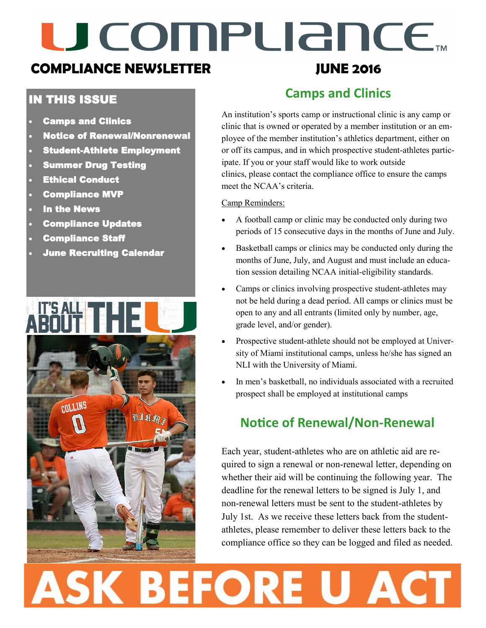# U COMPUANCE.

# **COMPLIANCE NEWSLETTER**

### IN THIS ISSUE

- Camps and Clinics
- Notice of Renewal/Nonrenewal
- Student-Athlete Employment
- Summer Drug Testing
- Ethical Conduct
- Compliance MVP
- In the News
- Compliance Updates
- Compliance Staff
- June Recruiting Calendar



# **JUNE 2016**

# **Camps and Clinics**

An institution's sports camp or instructional clinic is any camp or clinic that is owned or operated by a member institution or an employee of the member institution's athletics department, either on or off its campus, and in which prospective student-athletes participate. If you or your staff would like to work outside clinics, please contact the compliance office to ensure the camps meet the NCAA's criteria.

#### Camp Reminders:

- A football camp or clinic may be conducted only during two periods of 15 consecutive days in the months of June and July.
- Basketball camps or clinics may be conducted only during the months of June, July, and August and must include an education session detailing NCAA initial-eligibility standards.
- Camps or clinics involving prospective student-athletes may not be held during a dead period. All camps or clinics must be open to any and all entrants (limited only by number, age, grade level, and/or gender).
- Prospective student-athlete should not be employed at University of Miami institutional camps, unless he/she has signed an NLI with the University of Miami.
- In men's basketball, no individuals associated with a recruited prospect shall be employed at institutional camps

### **Notice of Renewal/Non-Renewal**

Each year, student-athletes who are on athletic aid are required to sign a renewal or non-renewal letter, depending on whether their aid will be continuing the following year. The deadline for the renewal letters to be signed is July 1, and non-renewal letters must be sent to the student-athletes by July 1st. As we receive these letters back from the studentathletes, please remember to deliver these letters back to the compliance office so they can be logged and filed as needed.

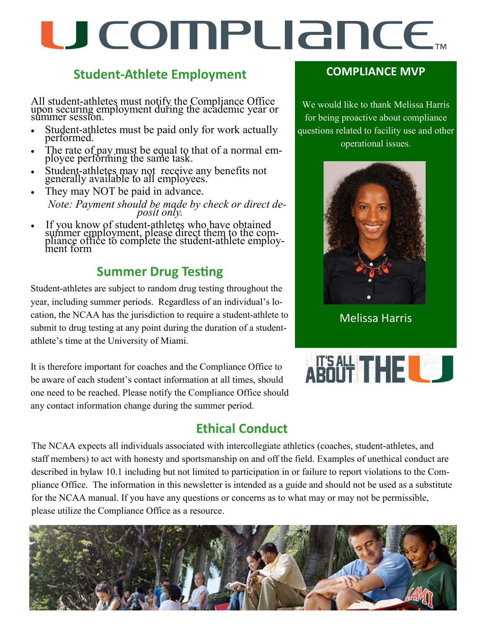# U COMPUANCE.

### **Student-Athlete Employment**

All student-athletes must notify the Compliance Office upon securing employment during the academic year or summer session.

- Student-athletes must be paid only for work actually performed.
- The rate of pay must be equal to that of a normal employee performing the same task.
- Student-athletes may not receive any benefits not generally available to all employees.
- They may NOT be paid in advance.  *Note: Payment should be made by check or direct deposit only.*
- If you know of student-athletes who have obtained summer employment, please direct them to the compliance office to complete the student-athlete employment form

# **Summer Drug Testing**

Student-athletes are subject to random drug testing throughout the year, including summer periods. Regardless of an individual's location, the NCAA has the jurisdiction to require a student-athlete to submit to drug testing at any point during the duration of a studentathlete's time at the University of Miami.

It is therefore important for coaches and the Compliance Office to be aware of each student's contact information at all times, should one need to be reached. Please notify the Compliance Office should any contact information change during the summer period.

# **Ethical Conduct**

### **COMPLIANCE MVP**

We would like to thank Melissa Harris for being proactive about compliance questions related to facility use and other operational issues.



Melissa Harris



The NCAA expects all individuals associated with intercollegiate athletics (coaches, student-athletes, and staff members) to act with honesty and sportsmanship on and off the field. Examples of unethical conduct are described in bylaw 10.1 including but not limited to participation in or failure to report violations to the Compliance Office. The information in this newsletter is intended as a guide and should not be used as a substitute for the NCAA manual. If you have any questions or concerns as to what may or may not be permissible, please utilize the Compliance Office as a resource.

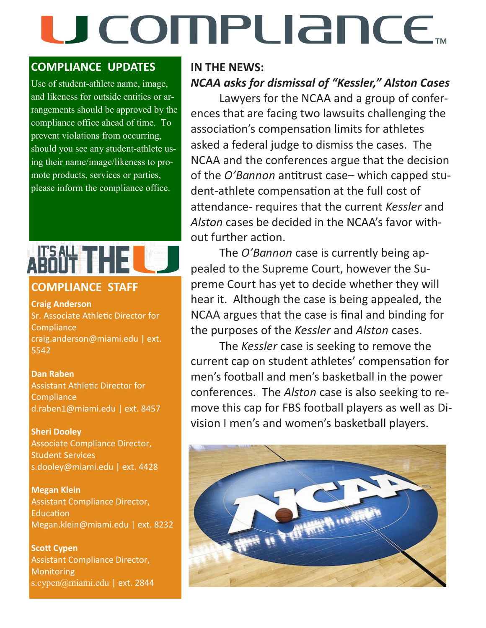# U COMPLIANCE.

### **COMPLIANCE UPDATES**

Use of student-athlete name, image, and likeness for outside entities or arrangements should be approved by the compliance office ahead of time. To prevent violations from occurring, should you see any student-athlete using their name/image/likeness to promote products, services or parties, please inform the compliance office.

#### **COMPLIANCE STAFF**

**Craig Anderson**  Sr. Associate Athletic Director for **Compliance** craig.anderson@miami.edu | ext. 5542

**Dan Raben**  Assistant Athletic Director for **Compliance** d.raben1@miami.edu | ext. 8457

**Sheri Dooley** Associate Compliance Director, Student Services s.dooley@miami.edu | ext. 4428

**Megan Klein** Assistant Compliance Director, Education Megan.klein@miami.edu | ext. 8232

**Scott Cypen** Assistant Compliance Director, **Monitoring** s.cypen@miami.edu | ext. 2844

### **IN THE NEWS:**  *NCAA asks for dismissal of "Kessler," Alston Cases*

Lawyers for the NCAA and a group of conferences that are facing two lawsuits challenging the association's compensation limits for athletes asked a federal judge to dismiss the cases. The NCAA and the conferences argue that the decision of the *O'Bannon* antitrust case– which capped student-athlete compensation at the full cost of attendance- requires that the current *Kessler* and *Alston* cases be decided in the NCAA's favor without further action.

The *O'Bannon* case is currently being appealed to the Supreme Court, however the Supreme Court has yet to decide whether they will hear it. Although the case is being appealed, the NCAA argues that the case is final and binding for the purposes of the *Kessler* and *Alston* cases.

The *Kessler* case is seeking to remove the current cap on student athletes' compensation for men's football and men's basketball in the power conferences. The *Alston* case is also seeking to remove this cap for FBS football players as well as Division I men's and women's basketball players.